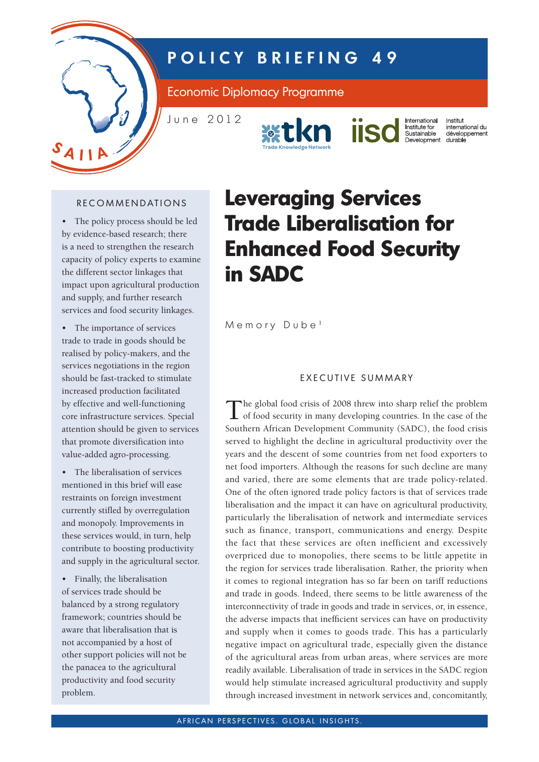

# **P O L I C Y B R I E F I N G 4 9**

Economic Diplomacy Programme

J u n e 2 0 1 2





International Institut international<br>Institute for<br>Sustainable<br>Development international du développement<br>durable

## RECOMMENDATIONS

• The policy process should be led by evidence-based research; there is a need to strengthen the research capacity of policy experts to examine the different sector linkages that impact upon agricultural production and supply, and further research services and food security linkages.

• The importance of services trade to trade in goods should be realised by policy-makers, and the services negotiations in the region should be fast-tracked to stimulate increased production facilitated by effective and well-functioning core infrastructure services. Special attention should be given to services that promote diversification into value-added agro-processing.

• The liberalisation of services mentioned in this brief will ease restraints on foreign investment currently stifled by overregulation and monopoly. Improvements in these services would, in turn, help contribute to boosting productivity and supply in the agricultural sector.

• Finally, the liberalisation of services trade should be balanced by a strong regulatory framework; countries should be aware that liberalisation that is not accompanied by a host of other support policies will not be the panacea to the agricultural productivity and food security problem.

# **Leveraging Services Trade Liberalisation for Enhanced Food Security in SADC**

 $M$  e m o r y  $D$  u b e<sup>1</sup>

## EXECUTIVE SUMMARY

The global food crisis of 2008 threw into sharp relief the problem of food security in many developing countries. In the case of the Southern African Development Community (SADC), the food crisis served to highlight the decline in agricultural productivity over the years and the descent of some countries from net food exporters to net food importers. Although the reasons for such decline are many and varied, there are some elements that are trade policy-related. One of the often ignored trade policy factors is that of services trade liberalisation and the impact it can have on agricultural productivity, particularly the liberalisation of network and intermediate services such as finance, transport, communications and energy. Despite the fact that these services are often inefficient and excessively overpriced due to monopolies, there seems to be little appetite in the region for services trade liberalisation. Rather, the priority when it comes to regional integration has so far been on tariff reductions and trade in goods. Indeed, there seems to be little awareness of the interconnectivity of trade in goods and trade in services, or, in essence, the adverse impacts that inefficient services can have on productivity and supply when it comes to goods trade. This has a particularly negative impact on agricultural trade, especially given the distance of the agricultural areas from urban areas, where services are more readily available. Liberalisation of trade in services in the SADC region would help stimulate increased agricultural productivity and supply through increased investment in network services and, concomitantly,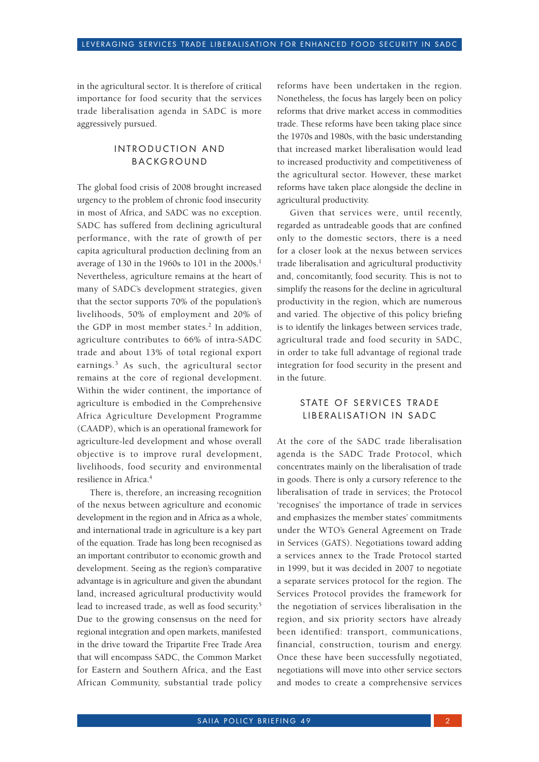in the agricultural sector. It is therefore of critical importance for food security that the services trade liberalisation agenda in SADC is more aggressively pursued.

#### INTRODUCTION AND **BACKGROUND**

The global food crisis of 2008 brought increased urgency to the problem of chronic food insecurity in most of Africa, and SADC was no exception. SADC has suffered from declining agricultural performance, with the rate of growth of per capita agricultural production declining from an average of 130 in the 1960s to 101 in the  $2000s$ <sup>1</sup>. Nevertheless, agriculture remains at the heart of many of SADC's development strategies, given that the sector supports 70% of the population's livelihoods, 50% of employment and 20% of the GDP in most member states.<sup>2</sup> In addition, agriculture contributes to 66% of intra-SADC trade and about 13% of total regional export earnings.<sup>3</sup> As such, the agricultural sector remains at the core of regional development. Within the wider continent, the importance of agriculture is embodied in the Comprehensive Africa Agriculture Development Programme (CAADP), which is an operational framework for agriculture-led development and whose overall objective is to improve rural development, livelihoods, food security and environmental resilience in Africa.4

There is, therefore, an increasing recognition of the nexus between agriculture and economic development in the region and in Africa as a whole, and international trade in agriculture is a key part of the equation. Trade has long been recognised as an important contributor to economic growth and development. Seeing as the region's comparative advantage is in agriculture and given the abundant land, increased agricultural productivity would lead to increased trade, as well as food security.<sup>5</sup> Due to the growing consensus on the need for regional integration and open markets, manifested in the drive toward the Tripartite Free Trade Area that will encompass SADC, the Common Market for Eastern and Southern Africa, and the East African Community, substantial trade policy reforms have been undertaken in the region. Nonetheless, the focus has largely been on policy reforms that drive market access in commodities trade. These reforms have been taking place since the 1970s and 1980s, with the basic understanding that increased market liberalisation would lead to increased productivity and competitiveness of the agricultural sector. However, these market reforms have taken place alongside the decline in agricultural productivity.

Given that services were, until recently, regarded as untradeable goods that are confined only to the domestic sectors, there is a need for a closer look at the nexus between services trade liberalisation and agricultural productivity and, concomitantly, food security. This is not to simplify the reasons for the decline in agricultural productivity in the region, which are numerous and varied. The objective of this policy briefing is to identify the linkages between services trade, agricultural trade and food security in SADC, in order to take full advantage of regional trade integration for food security in the present and in the future.

#### STATE OF SERVICES TRADE LIBERALISATION IN SADC

At the core of the SADC trade liberalisation agenda is the SADC Trade Protocol, which concentrates mainly on the liberalisation of trade in goods. There is only a cursory reference to the liberalisation of trade in services; the Protocol 'recognises' the importance of trade in services and emphasizes the member states' commitments under the WTO's General Agreement on Trade in Services (GATS). Negotiations toward adding a services annex to the Trade Protocol started in 1999, but it was decided in 2007 to negotiate a separate services protocol for the region. The Services Protocol provides the framework for the negotiation of services liberalisation in the region, and six priority sectors have already been identified: transport, communications, financial, construction, tourism and energy. Once these have been successfully negotiated, negotiations will move into other service sectors and modes to create a comprehensive services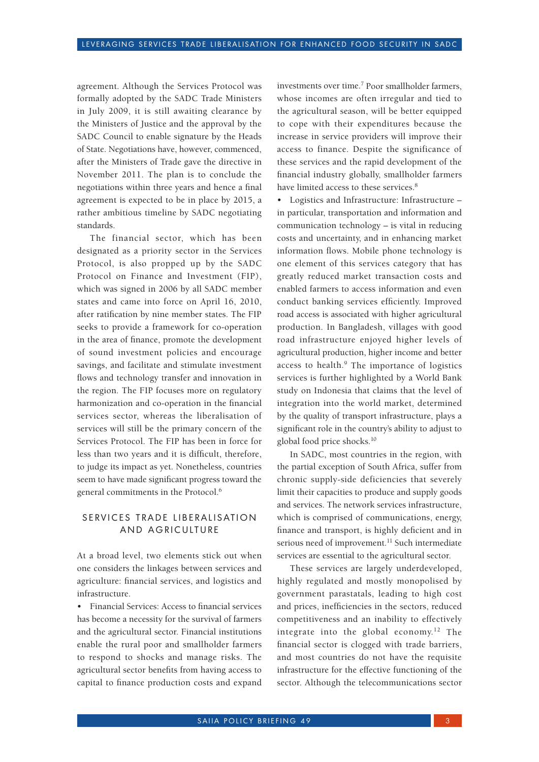agreement. Although the Services Protocol was formally adopted by the SADC Trade Ministers in July 2009, it is still awaiting clearance by the Ministers of Justice and the approval by the SADC Council to enable signature by the Heads of State. Negotiations have, however, commenced, after the Ministers of Trade gave the directive in November 2011. The plan is to conclude the negotiations within three years and hence a final agreement is expected to be in place by 2015, a rather ambitious timeline by SADC negotiating standards.

The financial sector, which has been designated as a priority sector in the Services Protocol, is also propped up by the SADC Protocol on Finance and Investment (FIP), which was signed in 2006 by all SADC member states and came into force on April 16, 2010, after ratification by nine member states. The FIP seeks to provide a framework for co-operation in the area of finance, promote the development of sound investment policies and encourage savings, and facilitate and stimulate investment flows and technology transfer and innovation in the region. The FIP focuses more on regulatory harmonization and co-operation in the financial services sector, whereas the liberalisation of services will still be the primary concern of the Services Protocol. The FIP has been in force for less than two years and it is difficult, therefore, to judge its impact as yet. Nonetheless, countries seem to have made significant progress toward the general commitments in the Protocol.6

## SERVICES TRADE LIBERALISATION AND AGRICULTURE

At a broad level, two elements stick out when one considers the linkages between services and agriculture: financial services, and logistics and infrastructure.

• Financial Services: Access to financial services has become a necessity for the survival of farmers and the agricultural sector. Financial institutions enable the rural poor and smallholder farmers to respond to shocks and manage risks. The agricultural sector benefits from having access to capital to finance production costs and expand

investments over time.<sup>7</sup> Poor smallholder farmers, whose incomes are often irregular and tied to the agricultural season, will be better equipped to cope with their expenditures because the increase in service providers will improve their access to finance. Despite the significance of these services and the rapid development of the financial industry globally, smallholder farmers have limited access to these services.<sup>8</sup>

• Logistics and Infrastructure: Infrastructure – in particular, transportation and information and communication technology – is vital in reducing costs and uncertainty, and in enhancing market information flows. Mobile phone technology is one element of this services category that has greatly reduced market transaction costs and enabled farmers to access information and even conduct banking services efficiently. Improved road access is associated with higher agricultural production. In Bangladesh, villages with good road infrastructure enjoyed higher levels of agricultural production, higher income and better access to health.<sup>9</sup> The importance of logistics services is further highlighted by a World Bank study on Indonesia that claims that the level of integration into the world market, determined by the quality of transport infrastructure, plays a significant role in the country's ability to adjust to global food price shocks.<sup>10</sup>

In SADC, most countries in the region, with the partial exception of South Africa, suffer from chronic supply-side deficiencies that severely limit their capacities to produce and supply goods and services. The network services infrastructure, which is comprised of communications, energy, finance and transport, is highly deficient and in serious need of improvement.<sup>11</sup> Such intermediate services are essential to the agricultural sector.

These services are largely underdeveloped, highly regulated and mostly monopolised by government parastatals, leading to high cost and prices, inefficiencies in the sectors, reduced competitiveness and an inability to effectively integrate into the global economy.<sup>12</sup> The financial sector is clogged with trade barriers, and most countries do not have the requisite infrastructure for the effective functioning of the sector. Although the telecommunications sector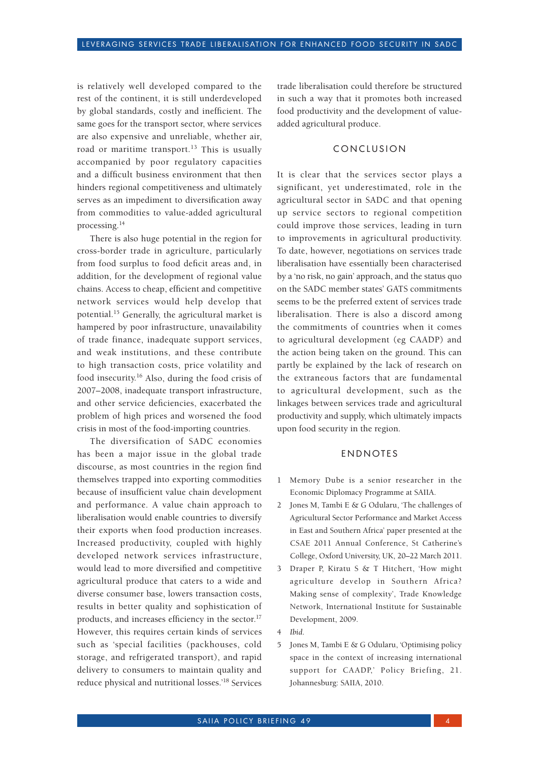is relatively well developed compared to the rest of the continent, it is still underdeveloped by global standards, costly and inefficient. The same goes for the transport sector, where services are also expensive and unreliable, whether air, road or maritime transport.<sup>13</sup> This is usually accompanied by poor regulatory capacities and a difficult business environment that then hinders regional competitiveness and ultimately serves as an impediment to diversification away from commodities to value-added agricultural processing.14

There is also huge potential in the region for cross-border trade in agriculture, particularly from food surplus to food deficit areas and, in addition, for the development of regional value chains. Access to cheap, efficient and competitive network services would help develop that potential.15 Generally, the agricultural market is hampered by poor infrastructure, unavailability of trade finance, inadequate support services, and weak institutions, and these contribute to high transaction costs, price volatility and food insecurity.16 Also, during the food crisis of 2007–2008, inadequate transport infrastructure, and other service deficiencies, exacerbated the problem of high prices and worsened the food crisis in most of the food-importing countries.

The diversification of SADC economies has been a major issue in the global trade discourse, as most countries in the region find themselves trapped into exporting commodities because of insufficient value chain development and performance. A value chain approach to liberalisation would enable countries to diversify their exports when food production increases. Increased productivity, coupled with highly developed network services infrastructure, would lead to more diversified and competitive agricultural produce that caters to a wide and diverse consumer base, lowers transaction costs, results in better quality and sophistication of products, and increases efficiency in the sector.<sup>17</sup> However, this requires certain kinds of services such as 'special facilities (packhouses, cold storage, and refrigerated transport), and rapid delivery to consumers to maintain quality and reduce physical and nutritional losses.'18 Services

trade liberalisation could therefore be structured in such a way that it promotes both increased food productivity and the development of valueadded agricultural produce.

#### **CONCLUSION**

It is clear that the services sector plays a significant, yet underestimated, role in the agricultural sector in SADC and that opening up service sectors to regional competition could improve those services, leading in turn to improvements in agricultural productivity. To date, however, negotiations on services trade liberalisation have essentially been characterised by a 'no risk, no gain' approach, and the status quo on the SADC member states' GATS commitments seems to be the preferred extent of services trade liberalisation. There is also a discord among the commitments of countries when it comes to agricultural development (eg CAADP) and the action being taken on the ground. This can partly be explained by the lack of research on the extraneous factors that are fundamental to agricultural development, such as the linkages between services trade and agricultural productivity and supply, which ultimately impacts upon food security in the region.

#### **ENDNOTES**

- 1 Memory Dube is a senior researcher in the Economic Diplomacy Programme at SAIIA.
- 2 Jones M, Tambi E & G Odularu, 'The challenges of Agricultural Sector Performance and Market Access in East and Southern Africa' paper presented at the CSAE 2011 Annual Conference, St Catherine's College, Oxford University, UK, 20–22 March 2011.
- 3 Draper P, Kiratu S & T Hitchert, 'How might agriculture develop in Southern Africa? Making sense of complexity', Trade Knowledge Network, International Institute for Sustainable Development, 2009.

4 *Ibid*.

5 Jones M, Tambi E & G Odularu, 'Optimising policy space in the context of increasing international support for CAADP,' Policy Briefing, 21. Johannesburg: SAIIA, 2010.